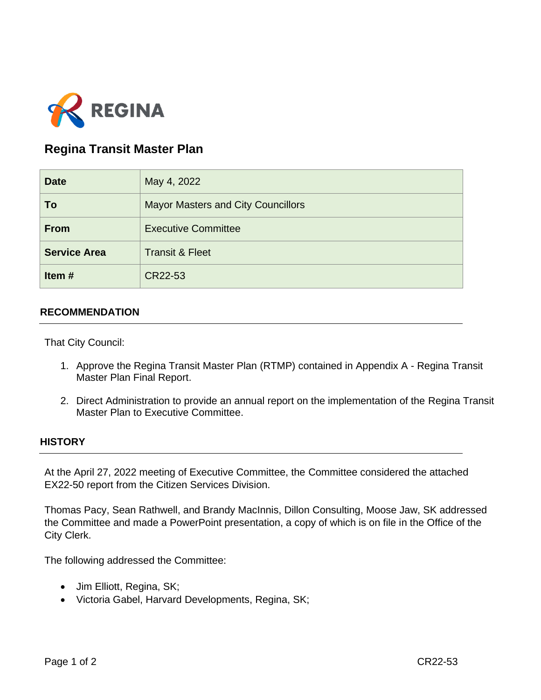

# **Regina Transit Master Plan**

| <b>Date</b>         | May 4, 2022                               |
|---------------------|-------------------------------------------|
| To                  | <b>Mayor Masters and City Councillors</b> |
| <b>From</b>         | <b>Executive Committee</b>                |
| <b>Service Area</b> | <b>Transit &amp; Fleet</b>                |
| Item#               | CR22-53                                   |

### **RECOMMENDATION**

That City Council:

- 1. Approve the Regina Transit Master Plan (RTMP) contained in Appendix A Regina Transit Master Plan Final Report.
- 2. Direct Administration to provide an annual report on the implementation of the Regina Transit Master Plan to Executive Committee.

#### **HISTORY**

At the April 27, 2022 meeting of Executive Committee, the Committee considered the attached EX22-50 report from the Citizen Services Division.

Thomas Pacy, Sean Rathwell, and Brandy MacInnis, Dillon Consulting, Moose Jaw, SK addressed the Committee and made a PowerPoint presentation, a copy of which is on file in the Office of the City Clerk.

The following addressed the Committee:

- Jim Elliott, Regina, SK;
- Victoria Gabel, Harvard Developments, Regina, SK;